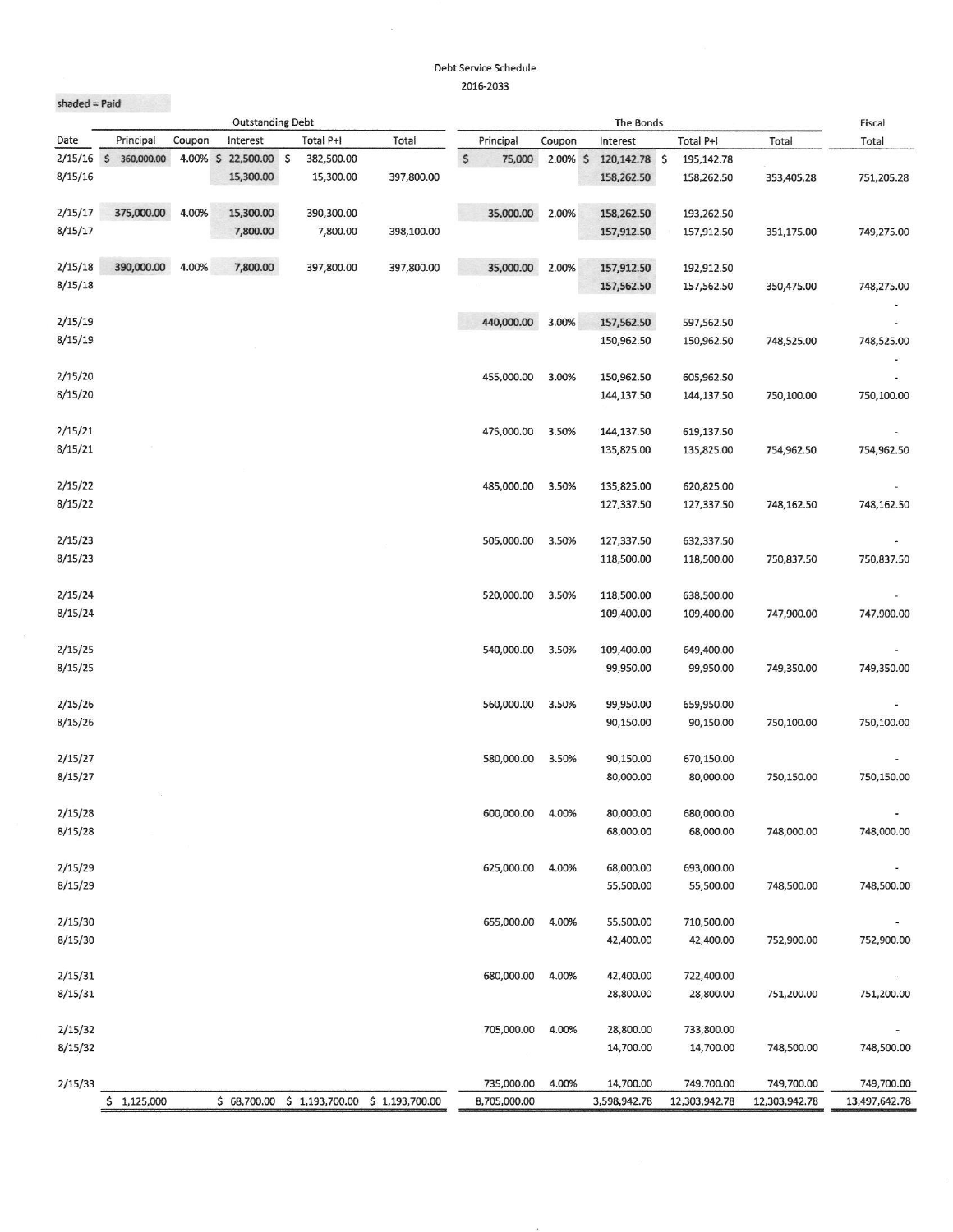## Debt Service Schedule 2016-2033

| $shaded = Paid$<br><b>Outstanding Debt</b> |                 |          |              |                |                |                            | Fiscal      |                           |                             |                             |                             |
|--------------------------------------------|-----------------|----------|--------------|----------------|----------------|----------------------------|-------------|---------------------------|-----------------------------|-----------------------------|-----------------------------|
| Date                                       | Principal       | Coupon   | Interest     | Total P+I      | Total          | Principal                  | Coupon      | The Bonds<br>Interest     | Total P+I                   | Total                       | Total                       |
| 2/15/16                                    | \$ 360,000.00   | 4.00% \$ | 22,500.00 \$ | 382,500.00     |                | \$<br>75,000               | $2.00\%$ \$ | 120,142.78 \$             | 195,142.78                  |                             |                             |
| 8/15/16                                    |                 |          | 15,300.00    | 15,300.00      | 397,800.00     |                            |             | 158,262.50                | 158,262.50                  | 353,405.28                  | 751,205.28                  |
| 2/15/17                                    | 375,000.00      | 4.00%    | 15,300.00    | 390,300.00     |                | 35,000.00                  | 2.00%       | 158,262.50                | 193,262.50                  |                             |                             |
| 8/15/17                                    |                 |          | 7,800.00     | 7,800.00       | 398,100.00     |                            |             | 157,912.50                | 157,912.50                  | 351,175.00                  | 749,275.00                  |
| 2/15/18                                    | 390,000.00      | 4.00%    | 7,800.00     | 397,800.00     | 397,800.00     | 35,000.00                  | 2.00%       | 157,912.50                | 192,912.50                  |                             |                             |
| 8/15/18                                    |                 |          |              |                |                |                            |             | 157,562.50                | 157,562.50                  | 350,475.00                  | 748,275.00                  |
|                                            |                 |          |              |                |                |                            |             |                           |                             |                             |                             |
| 2/15/19                                    |                 |          |              |                |                | 440,000.00                 | 3.00%       | 157,562.50                | 597,562.50                  |                             |                             |
| 8/15/19                                    |                 |          |              |                |                |                            |             | 150,962.50                | 150,962.50                  | 748,525.00                  | 748,525.00                  |
|                                            |                 |          |              |                |                |                            |             |                           |                             |                             |                             |
| 2/15/20                                    |                 |          |              |                |                | 455,000.00                 | 3.00%       | 150,962.50                | 605,962.50                  |                             |                             |
| 8/15/20                                    |                 |          |              |                |                |                            |             | 144,137.50                | 144,137.50                  | 750,100.00                  | 750,100.00                  |
| 2/15/21                                    |                 |          |              |                |                | 475,000.00                 | 3.50%       | 144,137.50                | 619,137.50                  |                             |                             |
| 8/15/21                                    |                 |          |              |                |                |                            |             | 135,825.00                | 135,825.00                  | 754,962.50                  | 754,962.50                  |
|                                            |                 |          |              |                |                |                            |             |                           |                             |                             |                             |
| 2/15/22                                    |                 |          |              |                |                | 485,000.00                 | 3.50%       | 135,825.00                | 620,825.00                  |                             |                             |
| 8/15/22                                    |                 |          |              |                |                |                            |             | 127,337.50                | 127,337.50                  | 748,162.50                  | 748,162.50                  |
| 2/15/23                                    |                 |          |              |                |                | 505,000.00                 | 3.50%       | 127,337.50                | 632,337.50                  |                             |                             |
| 8/15/23                                    |                 |          |              |                |                |                            |             | 118,500.00                | 118,500.00                  | 750,837.50                  | 750,837.50                  |
|                                            |                 |          |              |                |                |                            |             |                           |                             |                             |                             |
| 2/15/24                                    |                 |          |              |                |                | 520,000.00                 | 3.50%       | 118,500.00                | 638,500.00                  |                             |                             |
| 8/15/24                                    |                 |          |              |                |                |                            |             | 109,400.00                | 109,400.00                  | 747,900.00                  | 747,900.00                  |
| 2/15/25                                    |                 |          |              |                |                | 540,000.00                 | 3.50%       | 109,400.00                | 649,400.00                  |                             |                             |
| 8/15/25                                    |                 |          |              |                |                |                            |             | 99,950.00                 | 99,950.00                   | 749,350.00                  | 749,350.00                  |
|                                            |                 |          |              |                |                |                            |             |                           |                             |                             |                             |
| 2/15/26                                    |                 |          |              |                |                | 560,000.00                 | 3.50%       | 99,950.00                 | 659,950.00                  |                             |                             |
| 8/15/26                                    |                 |          |              |                |                |                            |             | 90,150.00                 | 90,150.00                   | 750,100.00                  | 750,100.00                  |
| 2/15/27                                    |                 |          |              |                |                | 580,000.00                 | 3.50%       | 90,150.00                 | 670,150.00                  |                             |                             |
| 8/15/27                                    |                 |          |              |                |                |                            |             | 80,000.00                 | 80,000.00                   | 750,150.00                  | 750,150.00                  |
|                                            |                 |          |              |                |                |                            |             |                           |                             |                             |                             |
| 2/15/28                                    |                 |          |              |                |                | 600,000.00                 | 4.00%       | 80,000.00                 | 680,000.00                  |                             |                             |
| 8/15/28                                    |                 |          |              |                |                |                            |             | 68,000.00                 | 68,000.00                   | 748,000.00                  | 748,000.00                  |
| 2/15/29                                    |                 |          |              |                |                | 625,000.00                 | 4.00%       | 68,000.00                 | 693,000.00                  |                             |                             |
| 8/15/29                                    |                 |          |              |                |                |                            |             | 55,500.00                 | 55,500.00                   | 748,500.00                  | 748,500.00                  |
|                                            |                 |          |              |                |                |                            |             |                           |                             |                             |                             |
| 2/15/30                                    |                 |          |              |                |                | 655,000.00                 | 4.00%       | 55,500.00                 | 710,500.00                  |                             |                             |
| 8/15/30                                    |                 |          |              |                |                |                            |             | 42,400.00                 | 42,400.00                   | 752,900.00                  | 752,900.00                  |
|                                            |                 |          |              |                |                |                            |             |                           |                             |                             |                             |
| 2/15/31                                    |                 |          |              |                |                | 680,000.00                 | 4.00%       | 42,400.00                 | 722,400.00                  |                             |                             |
| 8/15/31                                    |                 |          |              |                |                |                            |             | 28,800.00                 | 28,800.00                   | 751,200.00                  | 751,200.00                  |
| 2/15/32                                    |                 |          |              |                |                | 705,000.00                 | 4.00%       | 28,800.00                 | 733,800.00                  |                             |                             |
| 8/15/32                                    |                 |          |              |                |                |                            |             | 14,700.00                 | 14,700.00                   | 748,500.00                  | 748,500.00                  |
|                                            |                 |          |              |                |                |                            |             |                           |                             |                             |                             |
| 2/15/33                                    | \$<br>1,125,000 |          | \$68,700.00  | \$1,193,700.00 | \$1,193,700.00 | 735,000.00<br>8,705,000.00 | 4.00%       | 14,700.00<br>3,598,942.78 | 749,700.00<br>12,303,942.78 | 749,700.00<br>12,303,942.78 | 749,700.00<br>13,497,642.78 |
|                                            |                 |          |              |                |                |                            |             |                           |                             |                             |                             |